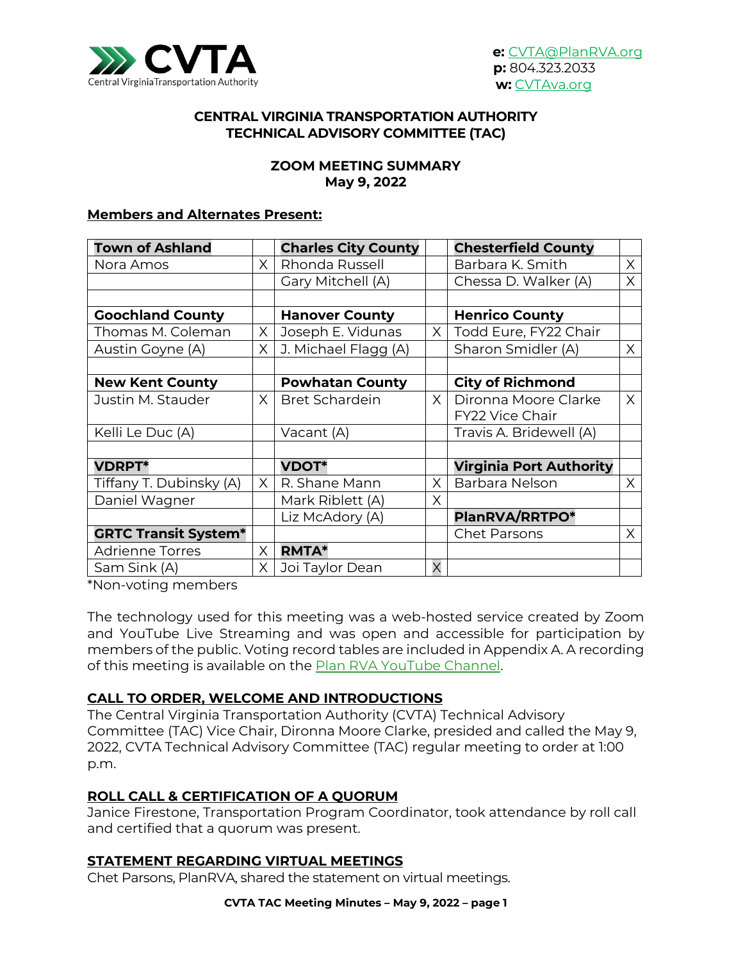

# **CENTRAL VIRGINIA TRANSPORTATION AUTHORITY TECHNICAL ADVISORY COMMITTEE (TAC)**

## **ZOOM MEETING SUMMARY May 9, 2022**

#### **Members and Alternates Present:**

| <b>Town of Ashland</b>      |          | <b>Charles City County</b> |          | <b>Chesterfield County</b>     |          |
|-----------------------------|----------|----------------------------|----------|--------------------------------|----------|
| Nora Amos                   | X.       | Rhonda Russell             |          | Barbara K. Smith               | X        |
|                             |          | Gary Mitchell (A)          |          | Chessa D. Walker (A)           | X        |
|                             |          |                            |          |                                |          |
| <b>Goochland County</b>     |          | <b>Hanover County</b>      |          | <b>Henrico County</b>          |          |
| Thomas M. Coleman           | X.       | Joseph E. Vidunas          | $\times$ | Todd Eure, FY22 Chair          |          |
| Austin Goyne (A)            | $\times$ | J. Michael Flagg (A)       |          | Sharon Smidler (A)             | $\times$ |
|                             |          |                            |          |                                |          |
| <b>New Kent County</b>      |          | <b>Powhatan County</b>     |          | <b>City of Richmond</b>        |          |
| Justin M. Stauder           | $\times$ | <b>Bret Schardein</b>      | $\times$ | Dironna Moore Clarke           | X        |
|                             |          |                            |          | FY22 Vice Chair                |          |
| Kelli Le Duc (A)            |          | Vacant (A)                 |          | Travis A. Bridewell (A)        |          |
|                             |          |                            |          |                                |          |
| <b>VDRPT*</b>               |          | <b>VDOT*</b>               |          | <b>Virginia Port Authority</b> |          |
| Tiffany T. Dubinsky (A)     | X        | R. Shane Mann              | X        | Barbara Nelson                 | X        |
| Daniel Wagner               |          | Mark Riblett (A)           | X        |                                |          |
|                             |          | Liz McAdory (A)            |          | PlanRVA/RRTPO*                 |          |
| <b>GRTC Transit System*</b> |          |                            |          | <b>Chet Parsons</b>            | X        |
| <b>Adrienne Torres</b>      | $\times$ | <b>RMTA*</b>               |          |                                |          |
| Sam Sink (A)                | X.       | Joi Taylor Dean            | X        |                                |          |

\*Non-voting members

The technology used for this meeting was a web-hosted service created by Zoom and YouTube Live Streaming and was open and accessible for participation by members of the public. Voting record tables are included in Appendix A. A recording of this meeting is available on the [Plan RVA YouTube Channel.](https://youtu.be/Z53MZy6iGM4) 

## **CALL TO ORDER, WELCOME AND INTRODUCTIONS**

The Central Virginia Transportation Authority (CVTA) Technical Advisory Committee (TAC) Vice Chair, Dironna Moore Clarke, presided and called the May 9, 2022, CVTA Technical Advisory Committee (TAC) regular meeting to order at 1:00 p.m.

# **ROLL CALL & CERTIFICATION OF A QUORUM**

Janice Firestone, Transportation Program Coordinator, took attendance by roll call and certified that a quorum was present.

## **STATEMENT REGARDING VIRTUAL MEETINGS**

Chet Parsons, PlanRVA, shared the statement on virtual meetings.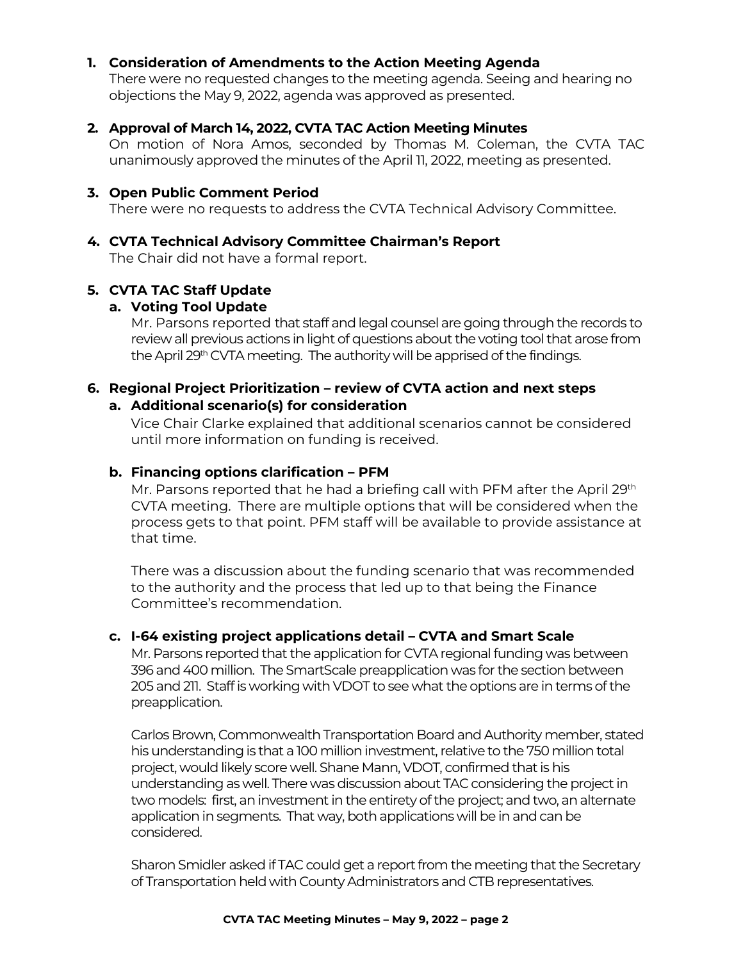# **1. Consideration of Amendments to the Action Meeting Agenda**

There were no requested changes to the meeting agenda. Seeing and hearing no objections the May 9, 2022, agenda was approved as presented.

#### **2. Approval of March 14, 2022, CVTA TAC Action Meeting Minutes**

On motion of Nora Amos, seconded by Thomas M. Coleman, the CVTA TAC unanimously approved the minutes of the April 11, 2022, meeting as presented.

#### **3. Open Public Comment Period**

There were no requests to address the CVTA Technical Advisory Committee.

# **4. CVTA Technical Advisory Committee Chairman's Report**

The Chair did not have a formal report.

# **5. CVTA TAC Staff Update**

## **a. Voting Tool Update**

Mr. Parsons reported that staff and legal counsel are going through the records to review all previous actions in light of questions about the voting tool that arose from the April 29<sup>th</sup> CVTA meeting. The authority will be apprised of the findings.

# **6. Regional Project Prioritization – review of CVTA action and next steps**

# **a. Additional scenario(s) for consideration**

Vice Chair Clarke explained that additional scenarios cannot be considered until more information on funding is received.

## **b. Financing options clarification – PFM**

Mr. Parsons reported that he had a briefing call with PFM after the April 29<sup>th</sup> CVTA meeting. There are multiple options that will be considered when the process gets to that point. PFM staff will be available to provide assistance at that time.

There was a discussion about the funding scenario that was recommended to the authority and the process that led up to that being the Finance Committee's recommendation.

## **c. I-64 existing project applications detail – CVTA and Smart Scale**

Mr. Parsons reported that the application for CVTA regional funding was between 396 and 400 million. The SmartScale preapplication was for the section between 205 and 211. Staff is working with VDOT to see what the options are in terms of the preapplication.

Carlos Brown, Commonwealth Transportation Board and Authority member, stated his understanding is that a 100 million investment, relative to the 750 million total project, would likely score well. Shane Mann, VDOT, confirmed that is his understanding as well. There was discussion about TAC considering the project in two models: first, an investment in the entirety of the project; and two, an alternate application in segments. That way, both applications will be in and can be considered.

Sharon Smidler asked if TAC could get a report from the meeting that the Secretary of Transportation held with County Administrators and CTB representatives.